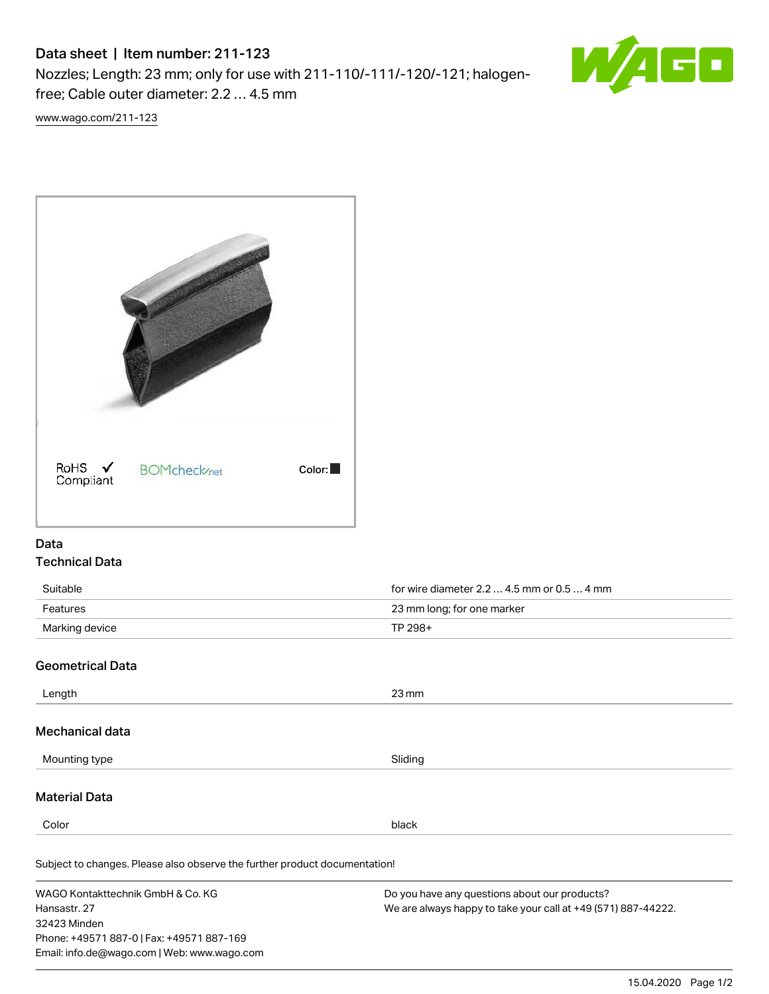# Data sheet | Item number: 211-123

Nozzles; Length: 23 mm; only for use with 211-110/-111/-120/-121; halogenfree; Cable outer diameter: 2.2 … 4.5 mm



[www.wago.com/211-123](http://www.wago.com/211-123)



### Data Technical Data

| Suitable       | for wire diameter $2.24.5$ mm or $0.54$ mm |  |
|----------------|--------------------------------------------|--|
| Features       | 23 mm long; for one marker                 |  |
| Marking device | TP 298+                                    |  |
|                |                                            |  |

# Geometrical Data

32423 Minden

Phone: +49571 887-0 | Fax: +49571 887-169 Email: info.de@wago.com | Web: www.wago.com

| Length                                                                     | $23 \,\mathrm{mm}$                                                                                             |  |  |  |
|----------------------------------------------------------------------------|----------------------------------------------------------------------------------------------------------------|--|--|--|
| Mechanical data                                                            |                                                                                                                |  |  |  |
| Mounting type                                                              | Sliding                                                                                                        |  |  |  |
| <b>Material Data</b>                                                       |                                                                                                                |  |  |  |
| Color                                                                      | black                                                                                                          |  |  |  |
| Subject to changes. Please also observe the further product documentation! |                                                                                                                |  |  |  |
| WAGO Kontakttechnik GmbH & Co. KG<br>Hansastr. 27                          | Do you have any questions about our products?<br>We are always happy to take your call at +49 (571) 887-44222. |  |  |  |

15.04.2020 Page 1/2